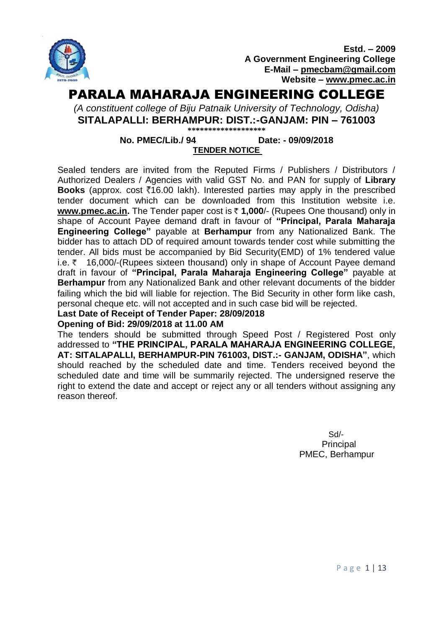

**Estd. – 2009 A Government Engineering College E-Mail – [pmecbam@gmail.com](mailto:pmecbam@gmail.com) Website – [www.pmec.ac.in](http://www.pmec.ac.in/)**

# PARALA MAHARAJA ENGINEERING COLLEGE

*(A constituent college of Biju Patnaik University of Technology, Odisha)* **SITALAPALLI: BERHAMPUR: DIST.:-GANJAM: PIN – 761003 \*\*\*\*\*\*\*\*\*\*\*\*\*\*\*\*\*\*\***

## **No. PMEC/Lib./ 94 Date: - 09/09/2018 TENDER NOTICE**

Sealed tenders are invited from the Reputed Firms / Publishers / Distributors / Authorized Dealers / Agencies with valid GST No. and PAN for supply of **Library Books** (approx. cost  $\bar{\xi}$ 16.00 lakh). Interested parties may apply in the prescribed tender document which can be downloaded from this Institution website i.e. **[www.pmec.ac.in.](http://www.pmec.ac.in/)** The Tender paper cost is ₹1,000/- (Rupees One thousand) only in shape of Account Payee demand draft in favour of **"Principal, Parala Maharaja Engineering College"** payable at **Berhampur** from any Nationalized Bank. The bidder has to attach DD of required amount towards tender cost while submitting the tender. All bids must be accompanied by Bid Security(EMD) of 1% tendered value i.e. ₹ 16,000/-(Rupees sixteen thousand) only in shape of Account Payee demand draft in favour of **"Principal, Parala Maharaja Engineering College"** payable at **Berhampur** from any Nationalized Bank and other relevant documents of the bidder failing which the bid will liable for rejection. The Bid Security in other form like cash, personal cheque etc. will not accepted and in such case bid will be rejected.

#### **Last Date of Receipt of Tender Paper: 28/09/2018 Opening of Bid: 29/09/2018 at 11.00 AM**

The tenders should be submitted through Speed Post / Registered Post only addressed to **"THE PRINCIPAL, PARALA MAHARAJA ENGINEERING COLLEGE, AT: SITALAPALLI, BERHAMPUR-PIN 761003, DIST.:- GANJAM, ODISHA"**, which should reached by the scheduled date and time. Tenders received beyond the scheduled date and time will be summarily rejected. The undersigned reserve the right to extend the date and accept or reject any or all tenders without assigning any reason thereof.

> Sd/- Principal PMEC, Berhampur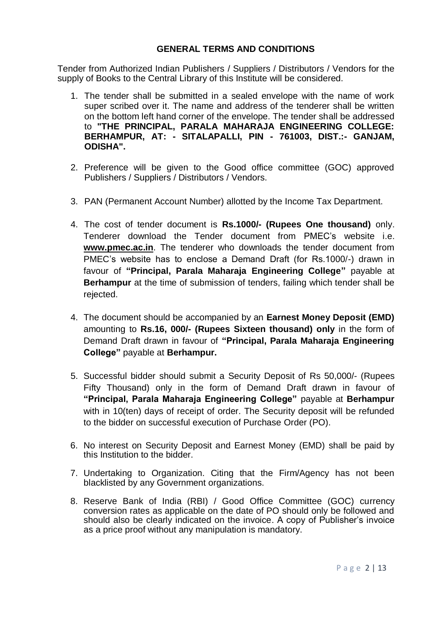#### **GENERAL TERMS AND CONDITIONS**

Tender from Authorized Indian Publishers / Suppliers / Distributors / Vendors for the supply of Books to the Central Library of this Institute will be considered.

- 1. The tender shall be submitted in a sealed envelope with the name of work super scribed over it. The name and address of the tenderer shall be written on the bottom left hand corner of the envelope. The tender shall be addressed to **"THE PRINCIPAL, PARALA MAHARAJA ENGINEERING COLLEGE: BERHAMPUR, AT: - SITALAPALLI, PIN - 761003, DIST.:- GANJAM, ODISHA".**
- 2. Preference will be given to the Good office committee (GOC) approved Publishers / Suppliers / Distributors / Vendors.
- 3. PAN (Permanent Account Number) allotted by the Income Tax Department.
- 4. The cost of tender document is **Rs.1000/- (Rupees One thousand)** only. Tenderer download the Tender document from PMEC's website i.e. **[www.pmec.ac.in](http://www.pmec.ac.in/)**. The tenderer who downloads the tender document from PMEC's website has to enclose a Demand Draft (for Rs.1000/-) drawn in favour of **"Principal, Parala Maharaja Engineering College"** payable at **Berhampur** at the time of submission of tenders, failing which tender shall be rejected.
- 4. The document should be accompanied by an **Earnest Money Deposit (EMD)** amounting to **Rs.16, 000/- (Rupees Sixteen thousand) only** in the form of Demand Draft drawn in favour of **"Principal, Parala Maharaja Engineering College"** payable at **Berhampur.**
- 5. Successful bidder should submit a Security Deposit of Rs 50,000/- (Rupees Fifty Thousand) only in the form of Demand Draft drawn in favour of **"Principal, Parala Maharaja Engineering College"** payable at **Berhampur** with in 10(ten) days of receipt of order. The Security deposit will be refunded to the bidder on successful execution of Purchase Order (PO).
- 6. No interest on Security Deposit and Earnest Money (EMD) shall be paid by this Institution to the bidder.
- 7. Undertaking to Organization. Citing that the Firm/Agency has not been blacklisted by any Government organizations.
- 8. Reserve Bank of India (RBI) / Good Office Committee (GOC) currency conversion rates as applicable on the date of PO should only be followed and should also be clearly indicated on the invoice. A copy of Publisher's invoice as a price proof without any manipulation is mandatory.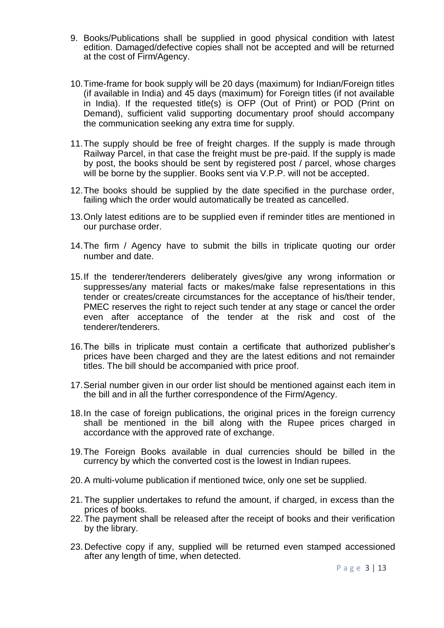- 9. Books/Publications shall be supplied in good physical condition with latest edition. Damaged/defective copies shall not be accepted and will be returned at the cost of Firm/Agency.
- 10.Time-frame for book supply will be 20 days (maximum) for Indian/Foreign titles (if available in India) and 45 days (maximum) for Foreign titles (if not available in India). If the requested title(s) is OFP (Out of Print) or POD (Print on Demand), sufficient valid supporting documentary proof should accompany the communication seeking any extra time for supply.
- 11.The supply should be free of freight charges. If the supply is made through Railway Parcel, in that case the freight must be pre-paid. If the supply is made by post, the books should be sent by registered post / parcel, whose charges will be borne by the supplier. Books sent via V.P.P. will not be accepted.
- 12.The books should be supplied by the date specified in the purchase order, failing which the order would automatically be treated as cancelled.
- 13.Only latest editions are to be supplied even if reminder titles are mentioned in our purchase order.
- 14.The firm / Agency have to submit the bills in triplicate quoting our order number and date.
- 15.If the tenderer/tenderers deliberately gives/give any wrong information or suppresses/any material facts or makes/make false representations in this tender or creates/create circumstances for the acceptance of his/their tender, PMEC reserves the right to reject such tender at any stage or cancel the order even after acceptance of the tender at the risk and cost of the tenderer/tenderers.
- 16.The bills in triplicate must contain a certificate that authorized publisher's prices have been charged and they are the latest editions and not remainder titles. The bill should be accompanied with price proof.
- 17.Serial number given in our order list should be mentioned against each item in the bill and in all the further correspondence of the Firm/Agency.
- 18.In the case of foreign publications, the original prices in the foreign currency shall be mentioned in the bill along with the Rupee prices charged in accordance with the approved rate of exchange.
- 19.The Foreign Books available in dual currencies should be billed in the currency by which the converted cost is the lowest in Indian rupees.
- 20.A multi-volume publication if mentioned twice, only one set be supplied.
- 21. The supplier undertakes to refund the amount, if charged, in excess than the prices of books.
- 22. The payment shall be released after the receipt of books and their verification by the library.
- 23. Defective copy if any, supplied will be returned even stamped accessioned after any length of time, when detected.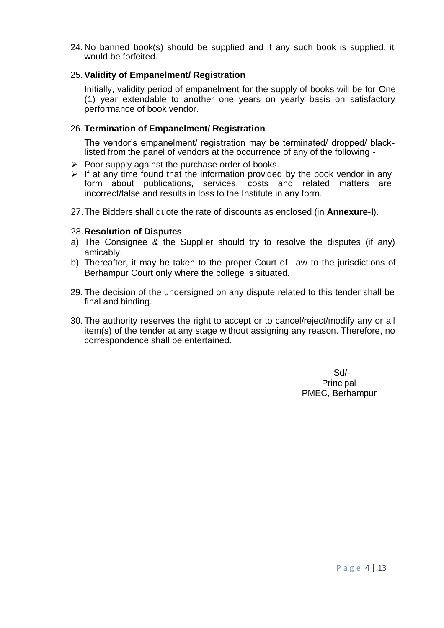24. No banned book(s) should be supplied and if any such book is supplied, it would be forfeited.

### 25.**Validity of Empanelment/ Registration**

Initially, validity period of empanelment for the supply of books will be for One (1) year extendable to another one years on yearly basis on satisfactory performance of book vendor.

#### 26. **Termination of Empanelment/ Registration**

The vendor's empanelment/ registration may be terminated/ dropped/ blacklisted from the panel of vendors at the occurrence of any of the following -

- $\triangleright$  Poor supply against the purchase order of books.
- $\triangleright$  If at any time found that the information provided by the book vendor in any form about publications, services, costs and related matters are incorrect/false and results in loss to the Institute in any form.
- 27.The Bidders shall quote the rate of discounts as enclosed (in **Annexure-I**).

#### 28.**Resolution of Disputes**

- a) The Consignee & the Supplier should try to resolve the disputes (if any) amicably.
- b) Thereafter, it may be taken to the proper Court of Law to the jurisdictions of Berhampur Court only where the college is situated.
- 29. The decision of the undersigned on any dispute related to this tender shall be final and binding.
- 30. The authority reserves the right to accept or to cancel/reject/modify any or all item(s) of the tender at any stage without assigning any reason. Therefore, no correspondence shall be entertained.

 Sd/- **Principal** PMEC, Berhampur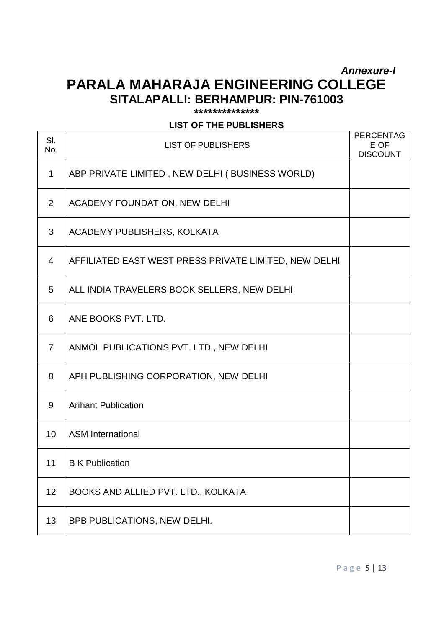# *Annexure-I* **PARALA MAHARAJA ENGINEERING COLLEGE SITALAPALLI: BERHAMPUR: PIN-761003**

**\*\*\*\*\*\*\*\*\*\*\*\*\*\***

### **LIST OF THE PUBLISHERS**

| SI.<br>No.     | <b>LIST OF PUBLISHERS</b>                             | <b>PERCENTAG</b><br>E OF<br><b>DISCOUNT</b> |
|----------------|-------------------------------------------------------|---------------------------------------------|
| $\mathbf 1$    | ABP PRIVATE LIMITED, NEW DELHI (BUSINESS WORLD)       |                                             |
| $\overline{2}$ | ACADEMY FOUNDATION, NEW DELHI                         |                                             |
| 3              | ACADEMY PUBLISHERS, KOLKATA                           |                                             |
| 4              | AFFILIATED EAST WEST PRESS PRIVATE LIMITED, NEW DELHI |                                             |
| 5              | ALL INDIA TRAVELERS BOOK SELLERS, NEW DELHI           |                                             |
| 6              | ANE BOOKS PVT. LTD.                                   |                                             |
| 7              | ANMOL PUBLICATIONS PVT. LTD., NEW DELHI               |                                             |
| 8              | APH PUBLISHING CORPORATION, NEW DELHI                 |                                             |
| 9              | <b>Arihant Publication</b>                            |                                             |
| 10             | <b>ASM International</b>                              |                                             |
| 11             | <b>B</b> K Publication                                |                                             |
| 12             | BOOKS AND ALLIED PVT. LTD., KOLKATA                   |                                             |
| 13             | BPB PUBLICATIONS, NEW DELHI.                          |                                             |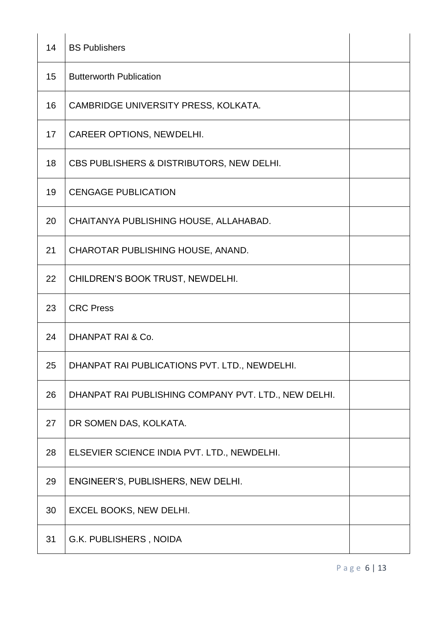| 14 | <b>BS Publishers</b>                                 |  |
|----|------------------------------------------------------|--|
| 15 | <b>Butterworth Publication</b>                       |  |
| 16 | CAMBRIDGE UNIVERSITY PRESS, KOLKATA.                 |  |
| 17 | CAREER OPTIONS, NEWDELHI.                            |  |
| 18 | CBS PUBLISHERS & DISTRIBUTORS, NEW DELHI.            |  |
| 19 | <b>CENGAGE PUBLICATION</b>                           |  |
| 20 | CHAITANYA PUBLISHING HOUSE, ALLAHABAD.               |  |
| 21 | CHAROTAR PUBLISHING HOUSE, ANAND.                    |  |
| 22 | CHILDREN'S BOOK TRUST, NEWDELHI.                     |  |
|    |                                                      |  |
| 23 | <b>CRC Press</b>                                     |  |
| 24 | <b>DHANPAT RAI &amp; Co.</b>                         |  |
| 25 | DHANPAT RAI PUBLICATIONS PVT. LTD., NEWDELHI.        |  |
| 26 | DHANPAT RAI PUBLISHING COMPANY PVT. LTD., NEW DELHI. |  |
| 27 | DR SOMEN DAS, KOLKATA.                               |  |
| 28 | ELSEVIER SCIENCE INDIA PVT. LTD., NEWDELHI.          |  |
| 29 | ENGINEER'S, PUBLISHERS, NEW DELHI.                   |  |
| 30 | EXCEL BOOKS, NEW DELHI.                              |  |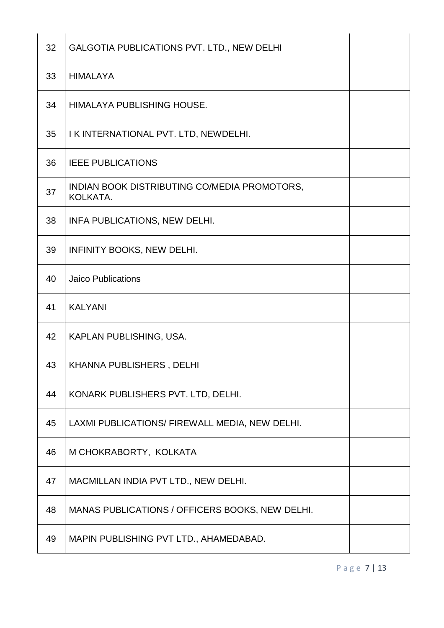| 32 | GALGOTIA PUBLICATIONS PVT. LTD., NEW DELHI               |  |
|----|----------------------------------------------------------|--|
| 33 | <b>HIMALAYA</b>                                          |  |
| 34 | HIMALAYA PUBLISHING HOUSE.                               |  |
| 35 | I K INTERNATIONAL PVT. LTD, NEWDELHI.                    |  |
| 36 | <b>IEEE PUBLICATIONS</b>                                 |  |
| 37 | INDIAN BOOK DISTRIBUTING CO/MEDIA PROMOTORS,<br>KOLKATA. |  |
| 38 | INFA PUBLICATIONS, NEW DELHI.                            |  |
| 39 | INFINITY BOOKS, NEW DELHI.                               |  |
| 40 | <b>Jaico Publications</b>                                |  |
| 41 | <b>KALYANI</b>                                           |  |
| 42 | KAPLAN PUBLISHING, USA.                                  |  |
| 43 | <b>KHANNA PUBLISHERS, DELHI</b>                          |  |
| 44 | KONARK PUBLISHERS PVT. LTD, DELHI.                       |  |
| 45 | LAXMI PUBLICATIONS/ FIREWALL MEDIA, NEW DELHI.           |  |
| 46 | M CHOKRABORTY, KOLKATA                                   |  |
| 47 | MACMILLAN INDIA PVT LTD., NEW DELHI.                     |  |
| 48 | MANAS PUBLICATIONS / OFFICERS BOOKS, NEW DELHI.          |  |
| 49 |                                                          |  |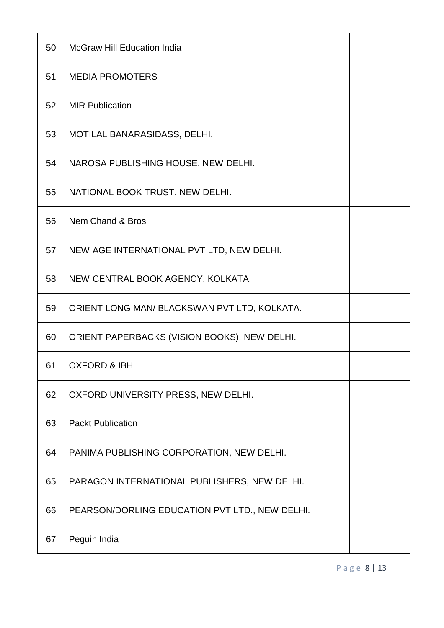| 50 | <b>McGraw Hill Education India</b>             |  |
|----|------------------------------------------------|--|
| 51 | <b>MEDIA PROMOTERS</b>                         |  |
| 52 | <b>MIR Publication</b>                         |  |
| 53 | MOTILAL BANARASIDASS, DELHI.                   |  |
| 54 | NAROSA PUBLISHING HOUSE, NEW DELHI.            |  |
| 55 | NATIONAL BOOK TRUST, NEW DELHI.                |  |
| 56 | Nem Chand & Bros                               |  |
| 57 | NEW AGE INTERNATIONAL PVT LTD, NEW DELHI.      |  |
| 58 | NEW CENTRAL BOOK AGENCY, KOLKATA.              |  |
| 59 | ORIENT LONG MAN/ BLACKSWAN PVT LTD, KOLKATA.   |  |
| 60 | ORIENT PAPERBACKS (VISION BOOKS), NEW DELHI.   |  |
| 61 | <b>OXFORD &amp; IBH</b>                        |  |
| 62 | OXFORD UNIVERSITY PRESS, NEW DELHI.            |  |
| 63 | <b>Packt Publication</b>                       |  |
| 64 | PANIMA PUBLISHING CORPORATION, NEW DELHI.      |  |
| 65 | PARAGON INTERNATIONAL PUBLISHERS, NEW DELHI.   |  |
| 66 | PEARSON/DORLING EDUCATION PVT LTD., NEW DELHI. |  |
| 67 | Peguin India                                   |  |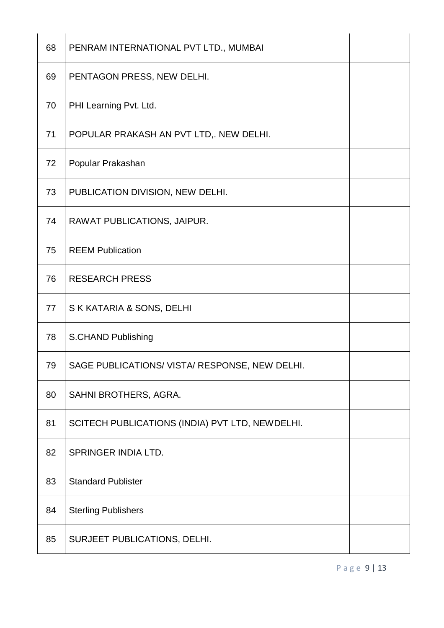| 68 | PENRAM INTERNATIONAL PVT LTD., MUMBAI           |  |
|----|-------------------------------------------------|--|
| 69 | PENTAGON PRESS, NEW DELHI.                      |  |
| 70 | PHI Learning Pvt. Ltd.                          |  |
| 71 | POPULAR PRAKASH AN PVT LTD,. NEW DELHI.         |  |
| 72 | Popular Prakashan                               |  |
| 73 | PUBLICATION DIVISION, NEW DELHI.                |  |
| 74 | RAWAT PUBLICATIONS, JAIPUR.                     |  |
| 75 | <b>REEM Publication</b>                         |  |
| 76 | <b>RESEARCH PRESS</b>                           |  |
| 77 | S K KATARIA & SONS, DELHI                       |  |
| 78 | S.CHAND Publishing                              |  |
| 79 | SAGE PUBLICATIONS/ VISTA/ RESPONSE, NEW DELHI.  |  |
| 80 | SAHNI BROTHERS, AGRA.                           |  |
| 81 | SCITECH PUBLICATIONS (INDIA) PVT LTD, NEWDELHI. |  |
| 82 | SPRINGER INDIA LTD.                             |  |
| 83 | <b>Standard Publister</b>                       |  |
| 84 | <b>Sterling Publishers</b>                      |  |
| 85 | SURJEET PUBLICATIONS, DELHI.                    |  |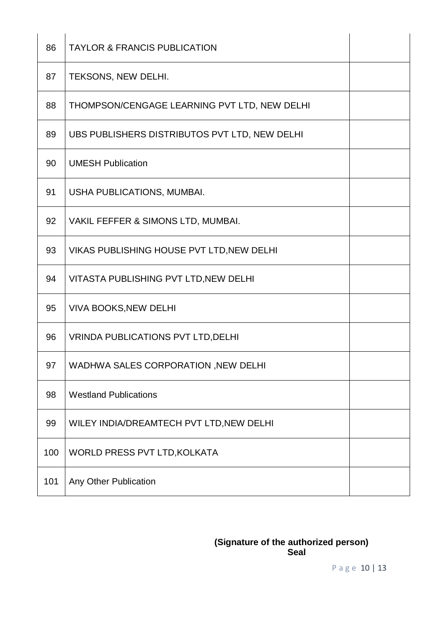| 86  | <b>TAYLOR &amp; FRANCIS PUBLICATION</b>       |  |
|-----|-----------------------------------------------|--|
| 87  | TEKSONS, NEW DELHI.                           |  |
| 88  | THOMPSON/CENGAGE LEARNING PVT LTD, NEW DELHI  |  |
| 89  | UBS PUBLISHERS DISTRIBUTOS PVT LTD, NEW DELHI |  |
| 90  | <b>UMESH Publication</b>                      |  |
| 91  | USHA PUBLICATIONS, MUMBAI.                    |  |
| 92  | VAKIL FEFFER & SIMONS LTD, MUMBAI.            |  |
| 93  | VIKAS PUBLISHING HOUSE PVT LTD, NEW DELHI     |  |
| 94  | VITASTA PUBLISHING PVT LTD, NEW DELHI         |  |
| 95  | <b>VIVA BOOKS, NEW DELHI</b>                  |  |
| 96  | <b>VRINDA PUBLICATIONS PVT LTD, DELHI</b>     |  |
| 97  | WADHWA SALES CORPORATION, NEW DELHI           |  |
| 98  | <b>Westland Publications</b>                  |  |
| 99  | WILEY INDIA/DREAMTECH PVT LTD, NEW DELHI      |  |
| 100 | WORLD PRESS PVT LTD, KOLKATA                  |  |
| 101 | Any Other Publication                         |  |

#### **(Signature of the authorized person) Seal**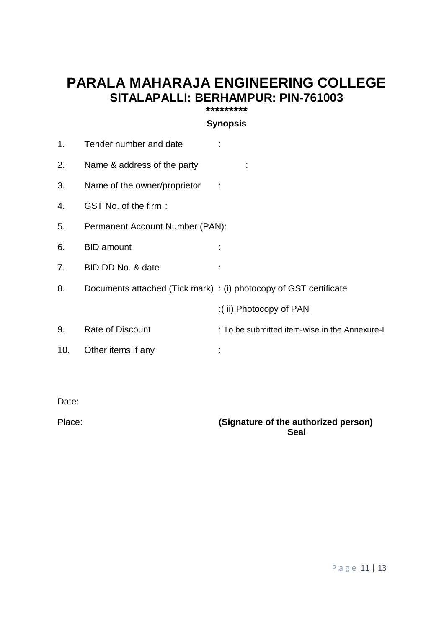## **PARALA MAHARAJA ENGINEERING COLLEGE SITALAPALLI: BERHAMPUR: PIN-761003 \*\*\*\*\*\*\*\*\***

**Synopsis**

| 1.  | Tender number and date                                            |                                               |
|-----|-------------------------------------------------------------------|-----------------------------------------------|
| 2.  | Name & address of the party                                       |                                               |
| 3.  | Name of the owner/proprietor                                      |                                               |
| 4.  | GST No. of the firm:                                              |                                               |
| 5.  | Permanent Account Number (PAN):                                   |                                               |
| 6.  | <b>BID</b> amount                                                 |                                               |
| 7.  | BID DD No. & date                                                 |                                               |
| 8.  | Documents attached (Tick mark) : (i) photocopy of GST certificate |                                               |
|     |                                                                   | :(ii) Photocopy of PAN                        |
| 9.  | <b>Rate of Discount</b>                                           | : To be submitted item-wise in the Annexure-I |
| 10. | Other items if any                                                |                                               |

Date:

## Place: **(Signature of the authorized person) Seal**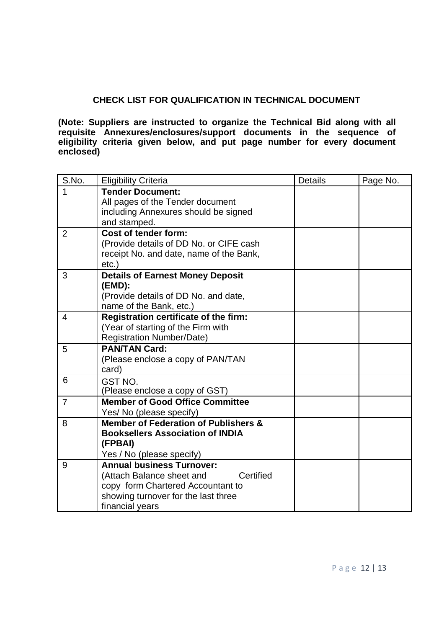### **CHECK LIST FOR QUALIFICATION IN TECHNICAL DOCUMENT**

**(Note: Suppliers are instructed to organize the Technical Bid along with all requisite Annexures/enclosures/support documents in the sequence of eligibility criteria given below, and put page number for every document enclosed)**

| S.No.          | <b>Eligibility Criteria</b>                                                                                                                                               | <b>Details</b> | Page No. |
|----------------|---------------------------------------------------------------------------------------------------------------------------------------------------------------------------|----------------|----------|
| 1              | <b>Tender Document:</b><br>All pages of the Tender document<br>including Annexures should be signed<br>and stamped.                                                       |                |          |
| $\overline{2}$ | Cost of tender form:<br>(Provide details of DD No. or CIFE cash<br>receipt No. and date, name of the Bank,<br>$etc.$ )                                                    |                |          |
| 3              | <b>Details of Earnest Money Deposit</b><br>(EMD):<br>(Provide details of DD No. and date,<br>name of the Bank, etc.)                                                      |                |          |
| $\overline{4}$ | Registration certificate of the firm:<br>(Year of starting of the Firm with<br><b>Registration Number/Date)</b>                                                           |                |          |
| 5              | <b>PAN/TAN Card:</b><br>(Please enclose a copy of PAN/TAN<br>card)                                                                                                        |                |          |
| 6              | GST NO.<br>(Please enclose a copy of GST)                                                                                                                                 |                |          |
| $\overline{7}$ | <b>Member of Good Office Committee</b><br>Yes/ No (please specify)                                                                                                        |                |          |
| 8              | Member of Federation of Publishers &<br><b>Booksellers Association of INDIA</b><br>(FPBAI)<br>Yes / No (please specify)                                                   |                |          |
| 9              | <b>Annual business Turnover:</b><br>Certified<br>(Attach Balance sheet and<br>copy form Chartered Accountant to<br>showing turnover for the last three<br>financial years |                |          |